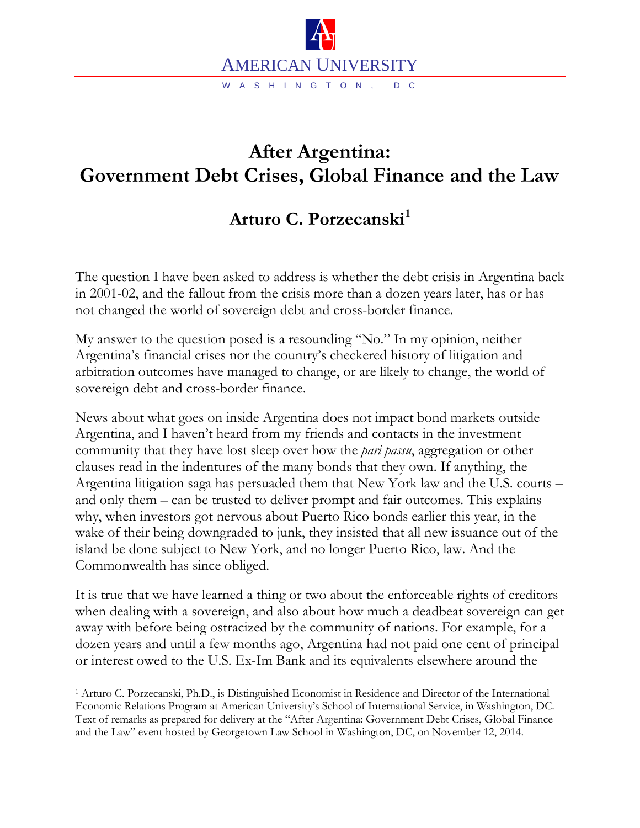

## **After Argentina: Government Debt Crises, Global Finance and the Law**

## **Arturo C. Porzecanski[1](#page-0-0)**

The question I have been asked to address is whether the debt crisis in Argentina back in 2001-02, and the fallout from the crisis more than a dozen years later, has or has not changed the world of sovereign debt and cross-border finance.

My answer to the question posed is a resounding "No." In my opinion, neither Argentina's financial crises nor the country's checkered history of litigation and arbitration outcomes have managed to change, or are likely to change, the world of sovereign debt and cross-border finance.

News about what goes on inside Argentina does not impact bond markets outside Argentina, and I haven't heard from my friends and contacts in the investment community that they have lost sleep over how the *pari passu*, aggregation or other clauses read in the indentures of the many bonds that they own. If anything, the Argentina litigation saga has persuaded them that New York law and the U.S. courts – and only them – can be trusted to deliver prompt and fair outcomes. This explains why, when investors got nervous about Puerto Rico bonds earlier this year, in the wake of their being downgraded to junk, they insisted that all new issuance out of the island be done subject to New York, and no longer Puerto Rico, law. And the Commonwealth has since obliged.

It is true that we have learned a thing or two about the enforceable rights of creditors when dealing with a sovereign, and also about how much a deadbeat sovereign can get away with before being ostracized by the community of nations. For example, for a dozen years and until a few months ago, Argentina had not paid one cent of principal or interest owed to the U.S. Ex-Im Bank and its equivalents elsewhere around the

<span id="page-0-0"></span> <sup>1</sup> Arturo C. Porzecanski, Ph.D., is Distinguished Economist in Residence and Director of the International Economic Relations Program at American University's School of International Service, in Washington, DC. Text of remarks as prepared for delivery at the "After Argentina: Government Debt Crises, Global Finance and the Law" event hosted by Georgetown Law School in Washington, DC, on November 12, 2014.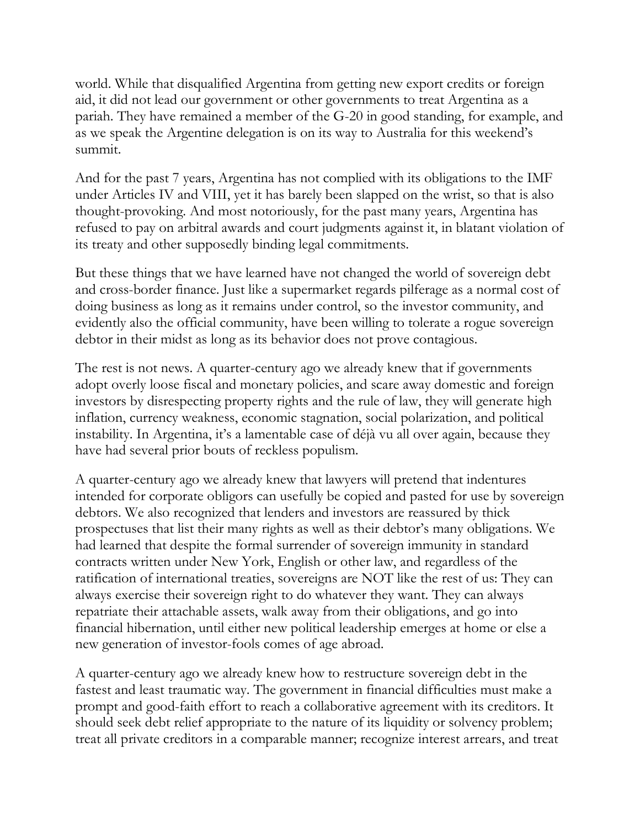world. While that disqualified Argentina from getting new export credits or foreign aid, it did not lead our government or other governments to treat Argentina as a pariah. They have remained a member of the G-20 in good standing, for example, and as we speak the Argentine delegation is on its way to Australia for this weekend's summit.

And for the past 7 years, Argentina has not complied with its obligations to the IMF under Articles IV and VIII, yet it has barely been slapped on the wrist, so that is also thought-provoking. And most notoriously, for the past many years, Argentina has refused to pay on arbitral awards and court judgments against it, in blatant violation of its treaty and other supposedly binding legal commitments.

But these things that we have learned have not changed the world of sovereign debt and cross-border finance. Just like a supermarket regards pilferage as a normal cost of doing business as long as it remains under control, so the investor community, and evidently also the official community, have been willing to tolerate a rogue sovereign debtor in their midst as long as its behavior does not prove contagious.

The rest is not news. A quarter-century ago we already knew that if governments adopt overly loose fiscal and monetary policies, and scare away domestic and foreign investors by disrespecting property rights and the rule of law, they will generate high inflation, currency weakness, economic stagnation, social polarization, and political instability. In Argentina, it's a lamentable case of déjà vu all over again, because they have had several prior bouts of reckless populism.

A quarter-century ago we already knew that lawyers will pretend that indentures intended for corporate obligors can usefully be copied and pasted for use by sovereign debtors. We also recognized that lenders and investors are reassured by thick prospectuses that list their many rights as well as their debtor's many obligations. We had learned that despite the formal surrender of sovereign immunity in standard contracts written under New York, English or other law, and regardless of the ratification of international treaties, sovereigns are NOT like the rest of us: They can always exercise their sovereign right to do whatever they want. They can always repatriate their attachable assets, walk away from their obligations, and go into financial hibernation, until either new political leadership emerges at home or else a new generation of investor-fools comes of age abroad.

A quarter-century ago we already knew how to restructure sovereign debt in the fastest and least traumatic way. The government in financial difficulties must make a prompt and good-faith effort to reach a collaborative agreement with its creditors. It should seek debt relief appropriate to the nature of its liquidity or solvency problem; treat all private creditors in a comparable manner; recognize interest arrears, and treat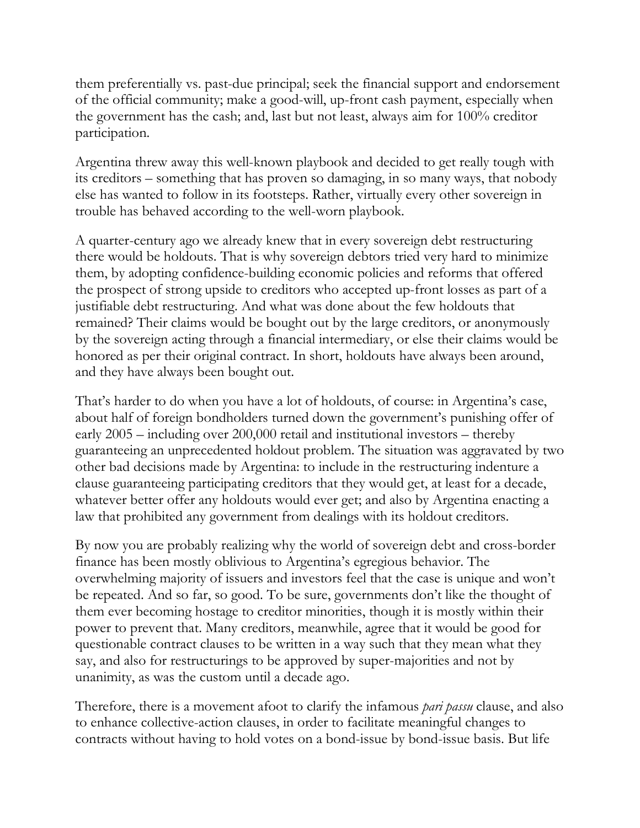them preferentially vs. past-due principal; seek the financial support and endorsement of the official community; make a good-will, up-front cash payment, especially when the government has the cash; and, last but not least, always aim for 100% creditor participation.

Argentina threw away this well-known playbook and decided to get really tough with its creditors – something that has proven so damaging, in so many ways, that nobody else has wanted to follow in its footsteps. Rather, virtually every other sovereign in trouble has behaved according to the well-worn playbook.

A quarter-century ago we already knew that in every sovereign debt restructuring there would be holdouts. That is why sovereign debtors tried very hard to minimize them, by adopting confidence-building economic policies and reforms that offered the prospect of strong upside to creditors who accepted up-front losses as part of a justifiable debt restructuring. And what was done about the few holdouts that remained? Their claims would be bought out by the large creditors, or anonymously by the sovereign acting through a financial intermediary, or else their claims would be honored as per their original contract. In short, holdouts have always been around, and they have always been bought out.

That's harder to do when you have a lot of holdouts, of course: in Argentina's case, about half of foreign bondholders turned down the government's punishing offer of early 2005 – including over 200,000 retail and institutional investors – thereby guaranteeing an unprecedented holdout problem. The situation was aggravated by two other bad decisions made by Argentina: to include in the restructuring indenture a clause guaranteeing participating creditors that they would get, at least for a decade, whatever better offer any holdouts would ever get; and also by Argentina enacting a law that prohibited any government from dealings with its holdout creditors.

By now you are probably realizing why the world of sovereign debt and cross-border finance has been mostly oblivious to Argentina's egregious behavior. The overwhelming majority of issuers and investors feel that the case is unique and won't be repeated. And so far, so good. To be sure, governments don't like the thought of them ever becoming hostage to creditor minorities, though it is mostly within their power to prevent that. Many creditors, meanwhile, agree that it would be good for questionable contract clauses to be written in a way such that they mean what they say, and also for restructurings to be approved by super-majorities and not by unanimity, as was the custom until a decade ago.

Therefore, there is a movement afoot to clarify the infamous *pari passu* clause, and also to enhance collective-action clauses, in order to facilitate meaningful changes to contracts without having to hold votes on a bond-issue by bond-issue basis. But life